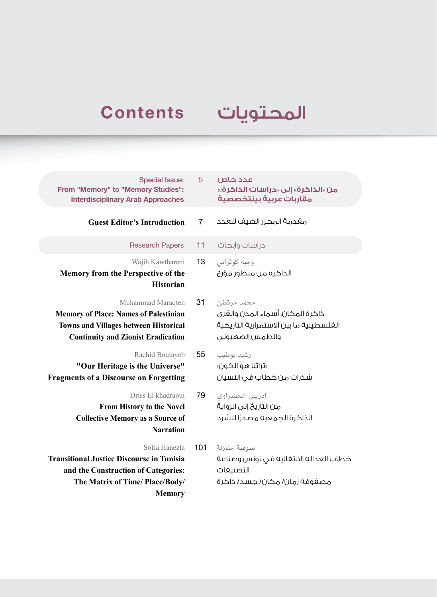## **Contents**

## المحتويات

| <b>Special Issue:</b><br>From "Memory" to "Memory Studies":<br><b>Interdisciplinary Arab Approaches</b>                                                        | 5   | ص<br>:«ö<br>ىية             |
|----------------------------------------------------------------------------------------------------------------------------------------------------------------|-----|-----------------------------|
| <b>Guest Editor's Introduction</b>                                                                                                                             | 7   | حدد                         |
| <b>Research Papers</b>                                                                                                                                         | 11  | باث                         |
| Wajih Kawtharani<br>Memory from the Perspective of the<br><b>Historian</b>                                                                                     | 13  | يانى<br>ﯘﺭﻍ                 |
| Muhammad Maraqten<br><b>Memory of Place: Names of Palestinian</b><br><b>Towns and Villages between Historical</b><br><b>Continuity and Zionist Eradication</b> | 31  | نطن<br>نری<br>ضية<br>وني    |
| Rachid Boutayeb<br>"Our Heritage is the Universe"<br><b>Fragments of a Discourse on Forgetting</b>                                                             | 55  | ے۔<br>ون»<br>يان            |
| Driss El khadraoui<br>From History to the Novel<br><b>Collective Memory as a Source of</b><br><b>Narration</b>                                                 | 79  | اوي<br>واية<br>نىرد         |
| Sofia Hanezla<br><b>Transitional Justice Discourse in Tunisia</b><br>and the Construction of Categories:<br>The Matrix of Time/ Place/Body/<br><b>Memory</b>   | 101 | نازلة<br>لاعة<br>فات<br>گرة |

- عدد خا **من »الذاكرة« إلى »دراسات الذاكرة«: مقاربات عربية بينتخصصية**
- مقدمة المحرر الضيف للع
- دراسات وأبح
- وجيه كوثر الذاكرة من منظور م
- محمد مرقا ذاكرة المكان؛ أسماء المدن والق الغلسطينية ما بين الاستمرارية التاريذ والطمس الصهيو
- رشيد بوط »تراثنا هو الكون« شذرات من خطاب في النس
- إدريس الخضرا من التاريخ إلى الرو الذاكرة الجمعية مصدرًا للسّ
- صوفية حنا خطاب العدالة الانتقالية في تونس وصنا التصنيف مصفوفة زمان/ مكان/ جسد/ ذاكرة